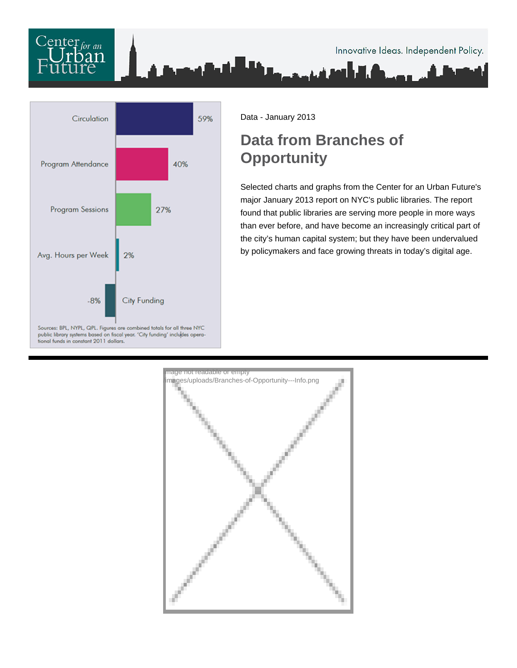Data - January 2013

## Data from Branches of **Opportunity**

Selected charts and graphs from the Center for an Urban Future's major January 2013 report on NYC's public libraries. The report found that public libraries are serving more people in more ways than ever before, and have become an increasingly critical part of the city's human capital system; but they have been undervalued by policymakers and face growing threats in today's digital age.

Image not readable or empty </images/uploads/Branches-of-Opportunity---Info.png>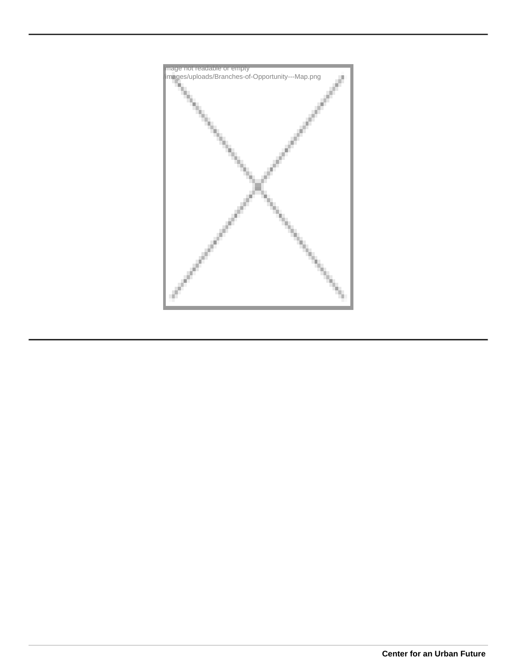Image not readable or empty </images/uploads/Branches-of-Opportunity---Map.png>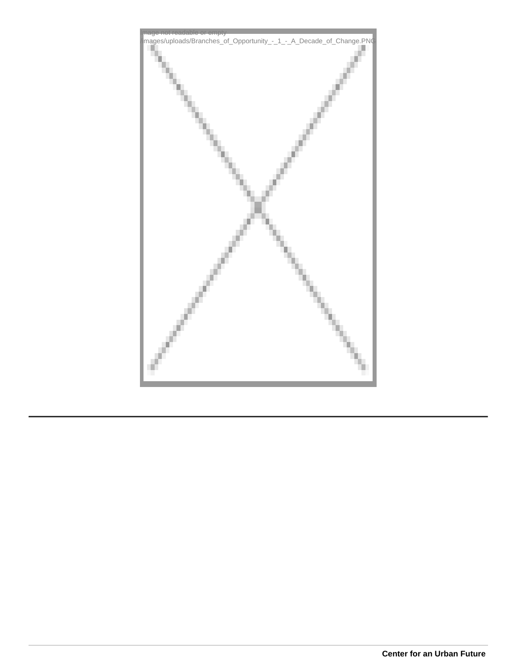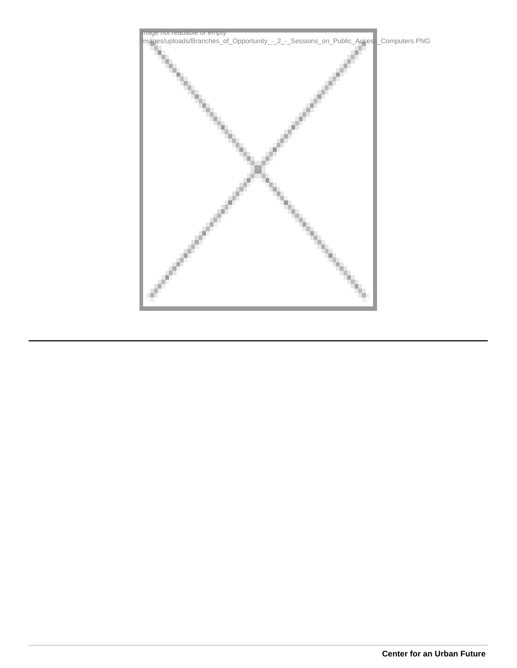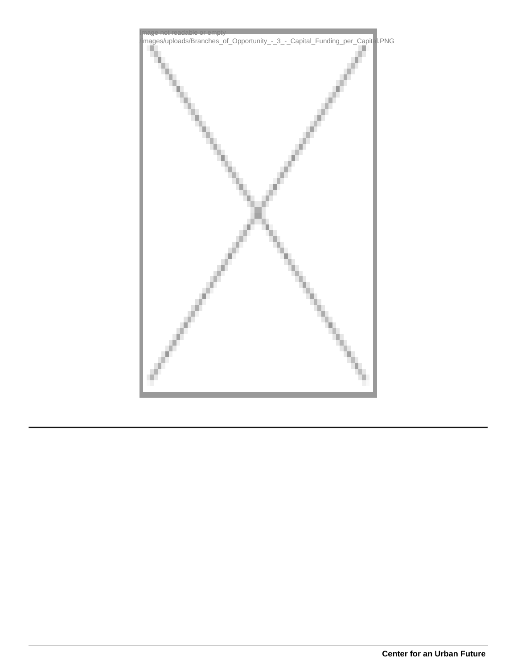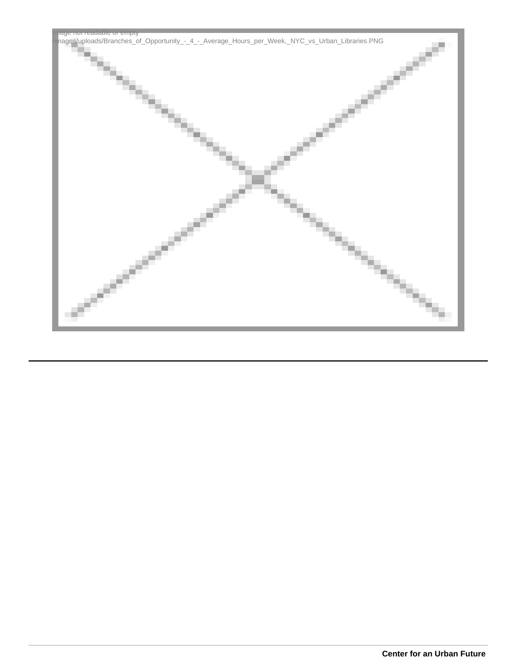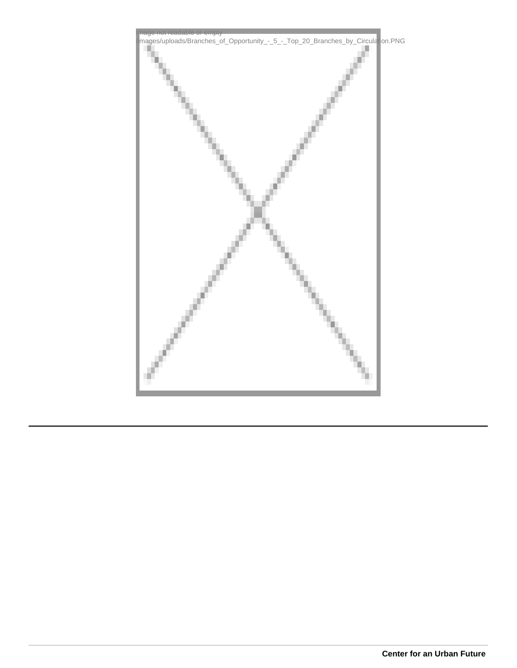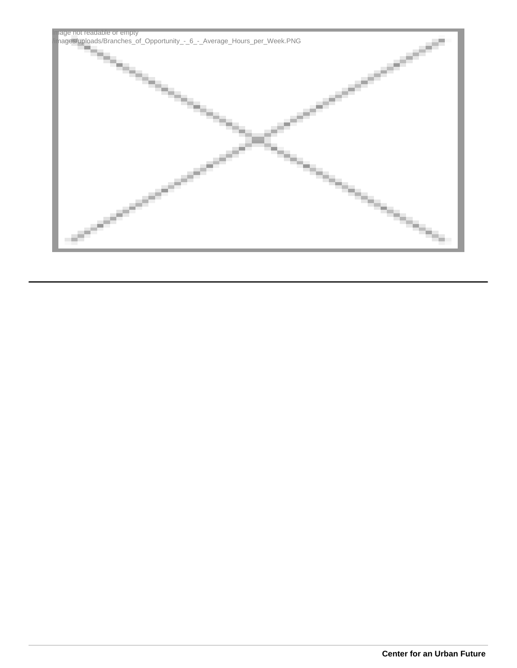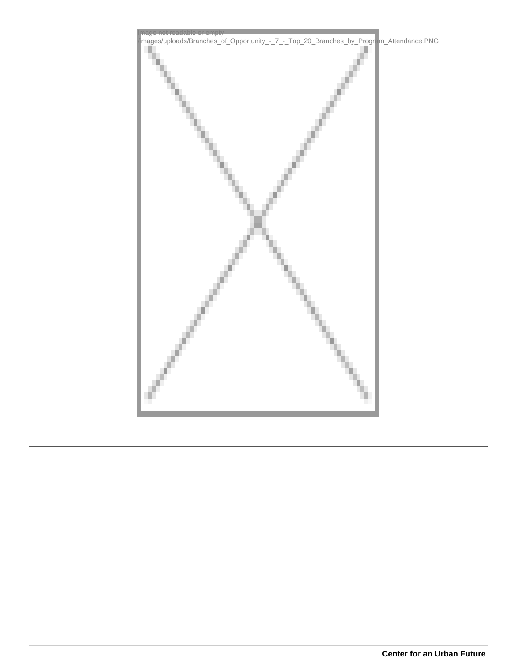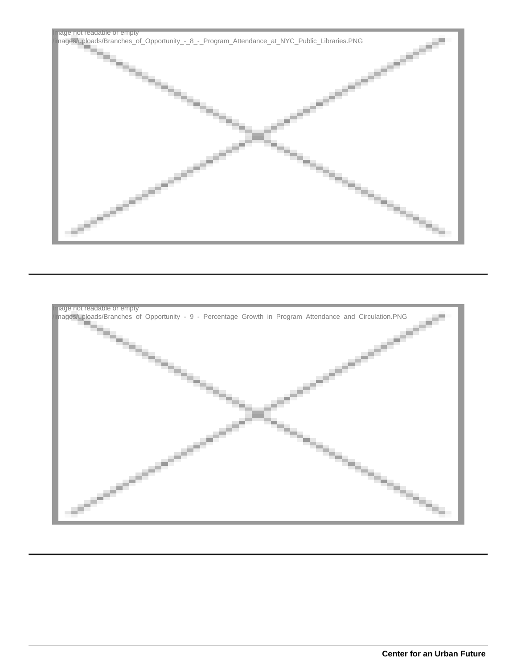

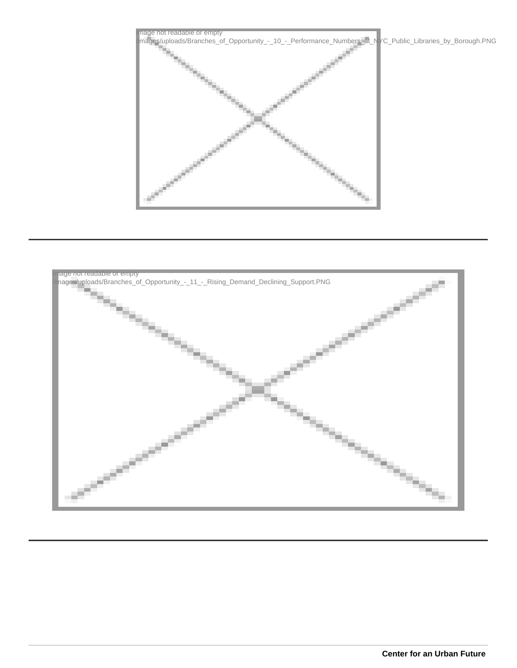

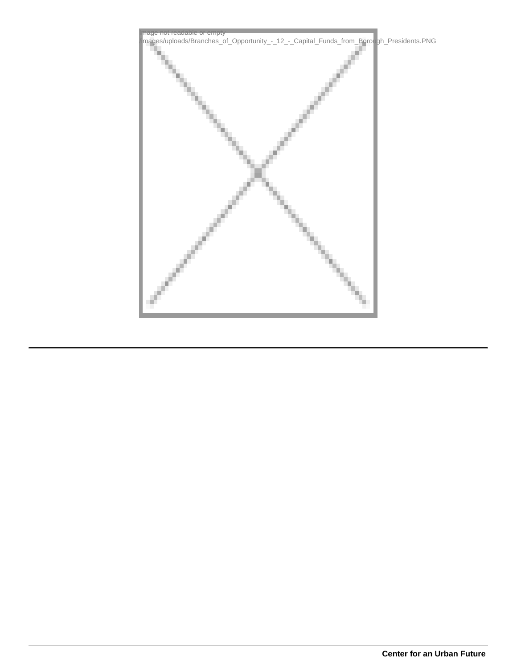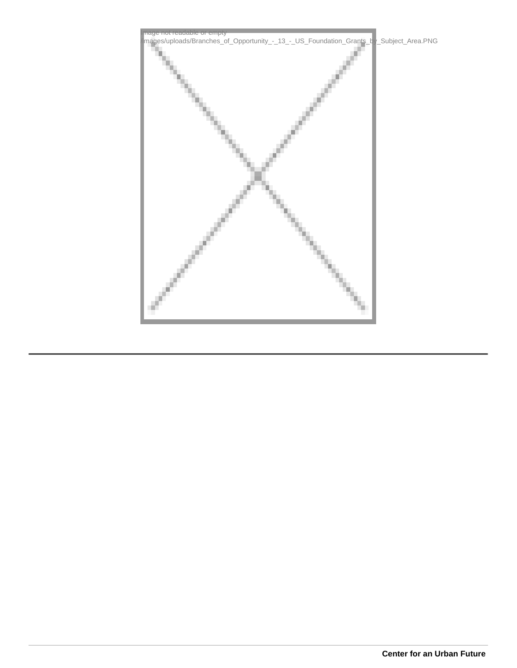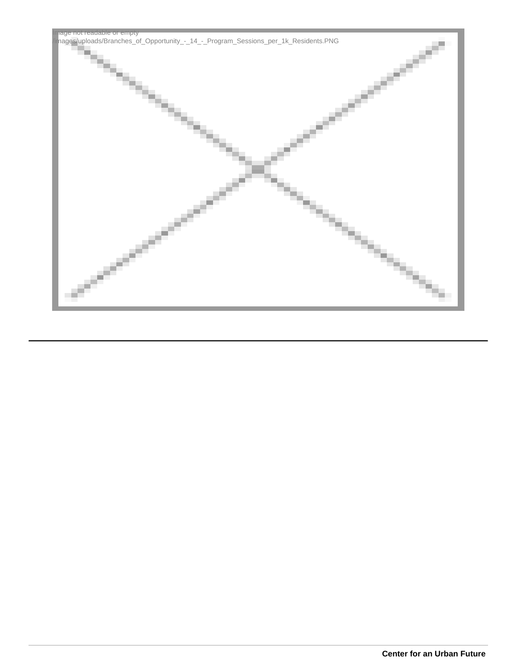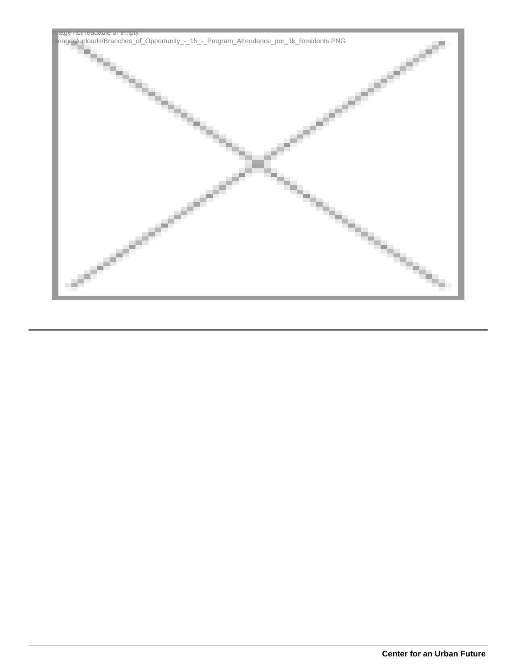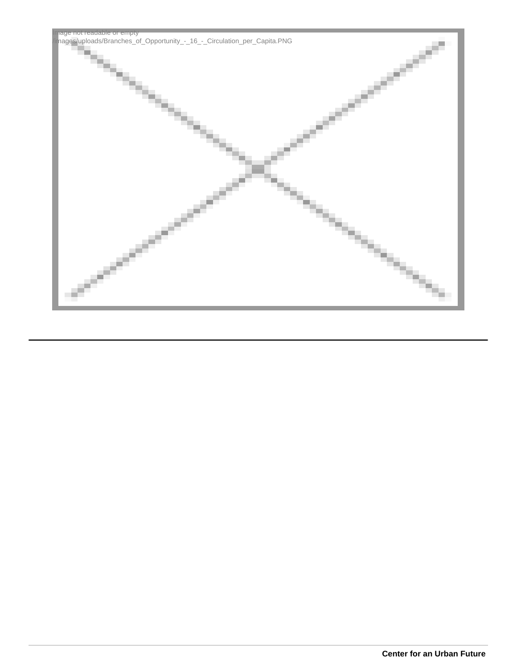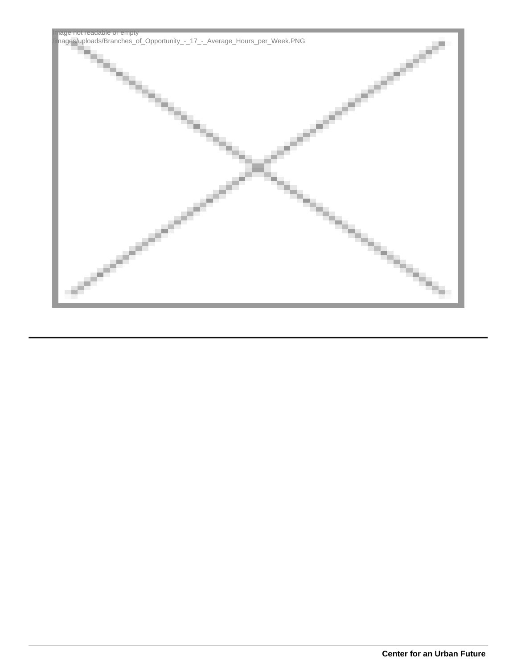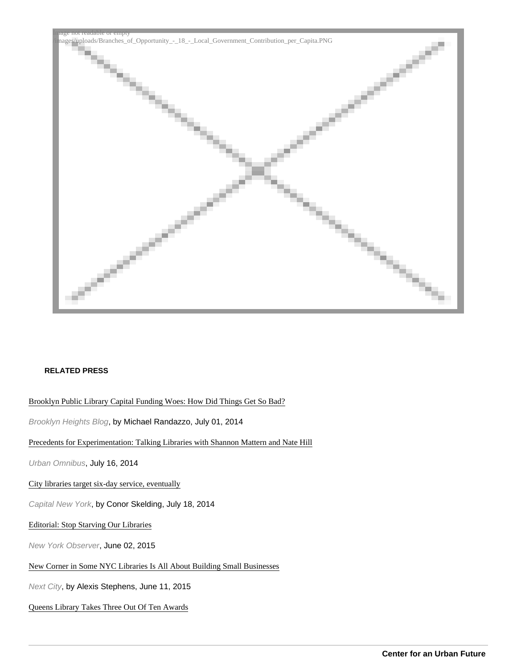## RELATED PRESS

[Brooklyn Public Library Capital Funding Woes: How Did Things Get So B](http://brooklynheightsblog.com/archives/68279)ad?

Brooklyn Heights Blog, by Michael Randazzo, July 01, 2014

[Precedents for Experimentation: Talking Libraries with Shannon Mattern and Na](http://urbanomnibus.net/2014/07/precedents-for-experimentation-talking-libraries-with-shannon-mattern-and-nate-hill/ )te Hill

Urban Omnibus, July 16, 2014

[City libraries target six-day service, eventu](http://www.capitalnewyork.com/article/city-hall/2014/07/8549144/city-libraries-target-six-day-service-eventually)ally

Capital New York, by Conor Skelding, July 18, 2014

[Editorial: Stop Starving Our Librarie](http://observer.com/2015/06/stop-starving-our-libraries/)s

New York Observer, June 02, 2015

[New Corner in Some NYC Libraries Is All About Building Small Busine](http://nextcity.org/daily/entry/nyc-libraries-immigrants-small-business-classes)sses

Next City, by Alexis Stephens, June 11, 2015

[Queens Library Takes Three Out Of Ten Awa](http://www.qgazette.com/news/2015-05-27/Features/Queens_Library_Takes_Three_Out_Of_Ten_Awards.html)rds